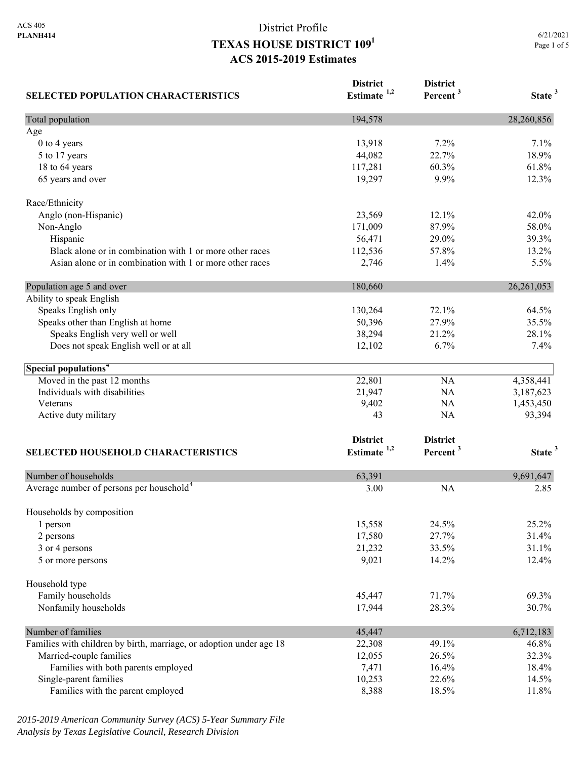| <b>SELECTED POPULATION CHARACTERISTICS</b>                          | <b>District</b><br>Estimate $1,2$ | <b>District</b><br>Percent <sup>3</sup> | State <sup>3</sup> |
|---------------------------------------------------------------------|-----------------------------------|-----------------------------------------|--------------------|
| Total population                                                    | 194,578                           |                                         | 28,260,856         |
| Age                                                                 |                                   |                                         |                    |
| 0 to 4 years                                                        | 13,918                            | 7.2%                                    | 7.1%               |
| 5 to 17 years                                                       | 44,082                            | 22.7%                                   | 18.9%              |
| 18 to 64 years                                                      | 117,281                           | 60.3%                                   | 61.8%              |
| 65 years and over                                                   | 19,297                            | 9.9%                                    | 12.3%              |
| Race/Ethnicity                                                      |                                   |                                         |                    |
| Anglo (non-Hispanic)                                                | 23,569                            | 12.1%                                   | 42.0%              |
| Non-Anglo                                                           | 171,009                           | 87.9%                                   | 58.0%              |
| Hispanic                                                            | 56,471                            | 29.0%                                   | 39.3%              |
| Black alone or in combination with 1 or more other races            | 112,536                           | 57.8%                                   | 13.2%              |
| Asian alone or in combination with 1 or more other races            | 2,746                             | 1.4%                                    | 5.5%               |
| Population age 5 and over                                           | 180,660                           |                                         | 26,261,053         |
| Ability to speak English                                            |                                   |                                         |                    |
| Speaks English only                                                 | 130,264                           | 72.1%                                   | 64.5%              |
| Speaks other than English at home                                   | 50,396                            | 27.9%                                   | 35.5%              |
| Speaks English very well or well                                    | 38,294                            | 21.2%                                   | 28.1%              |
| Does not speak English well or at all                               | 12,102                            | 6.7%                                    | 7.4%               |
| Special populations <sup>4</sup>                                    |                                   |                                         |                    |
| Moved in the past 12 months                                         | 22,801                            | NA                                      | 4,358,441          |
| Individuals with disabilities                                       | 21,947                            | NA                                      | 3,187,623          |
| Veterans                                                            | 9,402                             | NA                                      | 1,453,450          |
| Active duty military                                                | 43                                | NA                                      | 93,394             |
|                                                                     | <b>District</b>                   | <b>District</b>                         |                    |
| <b>SELECTED HOUSEHOLD CHARACTERISTICS</b>                           | Estimate <sup>1,2</sup>           | Percent <sup>3</sup>                    | State <sup>3</sup> |
|                                                                     |                                   |                                         |                    |
| Number of households                                                | 63,391                            |                                         | 9,691,647          |
| Average number of persons per household <sup>4</sup>                | 3.00                              | <b>NA</b>                               | 2.85               |
| Households by composition                                           |                                   |                                         |                    |
| 1 person                                                            | 15,558                            | 24.5%                                   | 25.2%              |
| 2 persons                                                           | 17,580                            | 27.7%                                   | 31.4%              |
| 3 or 4 persons                                                      | 21,232                            | 33.5%                                   | 31.1%              |
| 5 or more persons                                                   | 9,021                             | 14.2%                                   | 12.4%              |
| Household type                                                      |                                   |                                         |                    |
| Family households                                                   | 45,447                            | 71.7%                                   | 69.3%              |
| Nonfamily households                                                | 17,944                            | 28.3%                                   | 30.7%              |
| Number of families                                                  | 45,447                            |                                         | 6,712,183          |
| Families with children by birth, marriage, or adoption under age 18 | 22,308                            | 49.1%                                   | 46.8%              |
| Married-couple families                                             | 12,055                            | 26.5%                                   | 32.3%              |
| Families with both parents employed                                 | 7,471                             | 16.4%                                   | 18.4%              |
| Single-parent families                                              | 10,253                            | 22.6%                                   | 14.5%              |
| Families with the parent employed                                   | 8,388                             | 18.5%                                   | 11.8%              |

*2015-2019 American Community Survey (ACS) 5-Year Summary File Analysis by Texas Legislative Council, Research Division*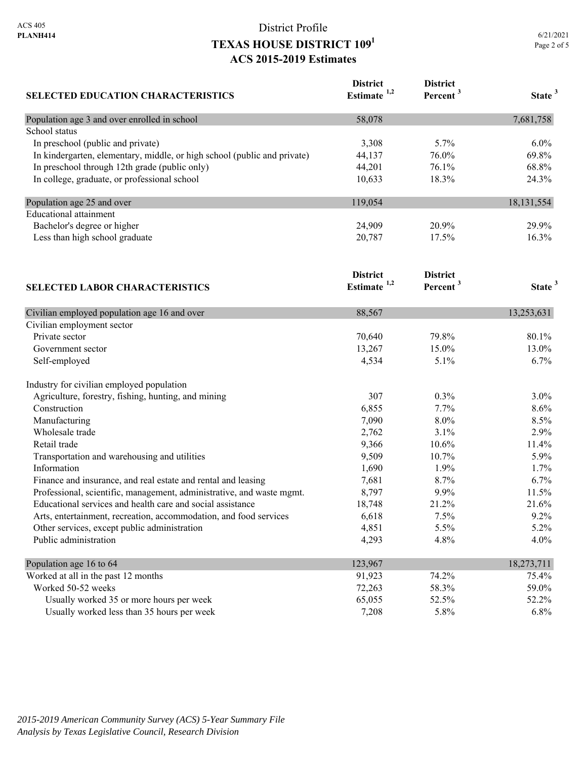|             | 6/21/2021 |
|-------------|-----------|
| Page 2 of 5 |           |

| SELECTED EDUCATION CHARACTERISTICS                                         | <b>District</b><br>Estimate <sup>1,2</sup> | <b>District</b><br>Percent <sup>3</sup> | State <sup>3</sup> |
|----------------------------------------------------------------------------|--------------------------------------------|-----------------------------------------|--------------------|
| Population age 3 and over enrolled in school                               | 58,078                                     |                                         | 7,681,758          |
| School status                                                              |                                            |                                         |                    |
| In preschool (public and private)                                          | 3,308                                      | 5.7%                                    | 6.0%               |
| In kindergarten, elementary, middle, or high school (public and private)   | 44,137                                     | 76.0%                                   | 69.8%              |
| In preschool through 12th grade (public only)                              | 44,201                                     | 76.1%                                   | 68.8%              |
| In college, graduate, or professional school                               | 10,633                                     | 18.3%                                   | 24.3%              |
| Population age 25 and over                                                 | 119,054                                    |                                         | 18, 131, 554       |
| <b>Educational</b> attainment                                              |                                            |                                         |                    |
| Bachelor's degree or higher                                                | 24,909                                     | 20.9%                                   | 29.9%              |
| Less than high school graduate                                             | 20,787                                     | 17.5%                                   | 16.3%              |
| <b>SELECTED LABOR CHARACTERISTICS</b>                                      | <b>District</b><br>Estimate <sup>1,2</sup> | <b>District</b><br>Percent <sup>3</sup> | State <sup>3</sup> |
|                                                                            |                                            |                                         |                    |
| Civilian employed population age 16 and over<br>Civilian employment sector | 88,567                                     |                                         | 13,253,631         |
| Private sector                                                             | 70,640                                     | 79.8%                                   | 80.1%              |
| Government sector                                                          | 13,267                                     | 15.0%                                   | 13.0%              |
| Self-employed                                                              | 4,534                                      | 5.1%                                    | 6.7%               |
| Industry for civilian employed population                                  |                                            |                                         |                    |
| Agriculture, forestry, fishing, hunting, and mining                        | 307                                        | 0.3%                                    | 3.0%               |
| Construction                                                               | 6,855                                      | 7.7%                                    | 8.6%               |
| Manufacturing                                                              | 7,090                                      | 8.0%                                    | 8.5%               |
| Wholesale trade                                                            | 2,762                                      | 3.1%                                    | 2.9%               |
| Retail trade                                                               | 9,366                                      | 10.6%                                   | 11.4%              |
| Transportation and warehousing and utilities                               | 9,509                                      | 10.7%                                   | 5.9%               |
| Information                                                                | 1,690                                      | 1.9%                                    | 1.7%               |
| Finance and insurance, and real estate and rental and leasing              | 7,681                                      | 8.7%                                    | 6.7%               |
| Professional, scientific, management, administrative, and waste mgmt.      | 8,797                                      | 9.9%                                    | 11.5%              |
| Educational services and health care and social assistance                 | 18,748                                     | 21.2%                                   | 21.6%              |
| Arts, entertainment, recreation, accommodation, and food services          | 6,618                                      | 7.5%                                    | 9.2%               |
| Other services, except public administration                               | 4,851                                      | 5.5%                                    | 5.2%               |
| Public administration                                                      | 4,293                                      | 4.8%                                    | 4.0%               |
| Population age 16 to 64                                                    | 123,967                                    |                                         | 18,273,711         |

| I upulation ago TV to $0$ +                | 123,701 |       | $10, 21$ , $11$ |
|--------------------------------------------|---------|-------|-----------------|
| Worked at all in the past 12 months        | 91.923  | 74.2% | 75.4%           |
| Worked 50-52 weeks                         | 72.263  | 58.3% | 59.0%           |
| Usually worked 35 or more hours per week   | 65,055  | 52.5% | 52.2%           |
| Usually worked less than 35 hours per week | 7.208   | 5.8%  | 6.8%            |
|                                            |         |       |                 |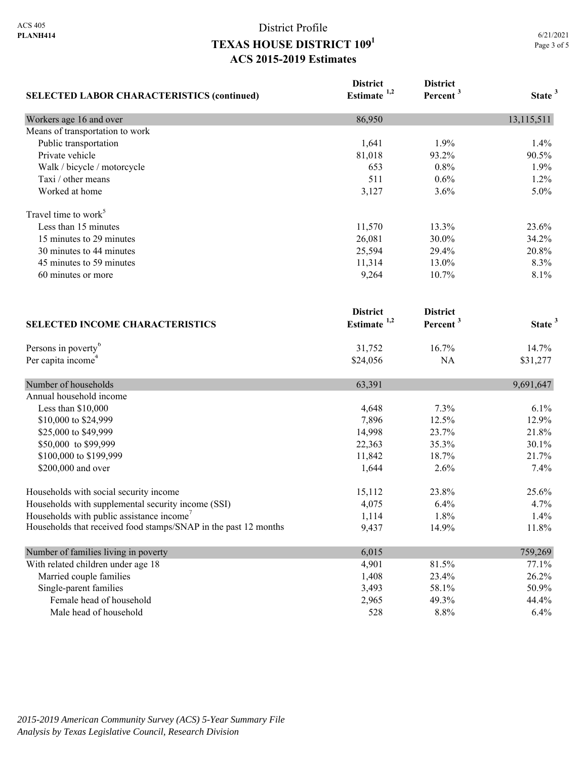|                                                                 | <b>District</b>         | <b>District</b>      |                    |
|-----------------------------------------------------------------|-------------------------|----------------------|--------------------|
| <b>SELECTED LABOR CHARACTERISTICS (continued)</b>               | Estimate <sup>1,2</sup> | Percent <sup>3</sup> | State <sup>3</sup> |
| Workers age 16 and over                                         | 86,950                  |                      | 13,115,511         |
| Means of transportation to work                                 |                         |                      |                    |
| Public transportation                                           | 1,641                   | 1.9%                 | 1.4%               |
| Private vehicle                                                 | 81,018                  | 93.2%                | 90.5%              |
| Walk / bicycle / motorcycle                                     | 653                     | 0.8%                 | 1.9%               |
| Taxi / other means                                              | 511                     | 0.6%                 | 1.2%               |
| Worked at home                                                  | 3,127                   | 3.6%                 | 5.0%               |
| Travel time to work <sup>5</sup>                                |                         |                      |                    |
| Less than 15 minutes                                            | 11,570                  | 13.3%                | 23.6%              |
| 15 minutes to 29 minutes                                        | 26,081                  | 30.0%                | 34.2%              |
| 30 minutes to 44 minutes                                        | 25,594                  | 29.4%                | 20.8%              |
| 45 minutes to 59 minutes                                        | 11,314                  | 13.0%                | 8.3%               |
| 60 minutes or more                                              | 9,264                   | 10.7%                | 8.1%               |
|                                                                 | <b>District</b>         | <b>District</b>      |                    |
| <b>SELECTED INCOME CHARACTERISTICS</b>                          | Estimate $1,2$          | Percent <sup>3</sup> | State <sup>3</sup> |
| Persons in poverty <sup>6</sup>                                 | 31,752                  | 16.7%                | 14.7%              |
| Per capita income <sup>4</sup>                                  | \$24,056                | <b>NA</b>            | \$31,277           |
| Number of households                                            | 63,391                  |                      | 9,691,647          |
| Annual household income                                         |                         |                      |                    |
| Less than \$10,000                                              | 4,648                   | 7.3%                 | 6.1%               |
| \$10,000 to \$24,999                                            | 7,896                   | 12.5%                | 12.9%              |
| \$25,000 to \$49,999                                            | 14,998                  | 23.7%                | 21.8%              |
| \$50,000 to \$99,999                                            | 22,363                  | 35.3%                | 30.1%              |
| \$100,000 to \$199,999                                          | 11,842                  | 18.7%                | 21.7%              |
| \$200,000 and over                                              | 1,644                   | 2.6%                 | 7.4%               |
| Households with social security income                          | 15,112                  | 23.8%                | 25.6%              |
| Households with supplemental security income (SSI)              | 4,075                   | 6.4%                 | 4.7%               |
| Households with public assistance income                        | 1,114                   | 1.8%                 | 1.4%               |
| Households that received food stamps/SNAP in the past 12 months | 9,437                   | 14.9%                | 11.8%              |
| Number of families living in poverty                            | 6,015                   |                      | 759,269            |
| With related children under age 18                              | 4,901                   | 81.5%                | 77.1%              |
| Married couple families                                         | 1,408                   | 23.4%                | 26.2%              |
| Single-parent families                                          | 3,493                   | 58.1%                | 50.9%              |
| Female head of household                                        | 2,965                   | 49.3%                | 44.4%              |
| Male head of household                                          | 528                     | 8.8%                 | 6.4%               |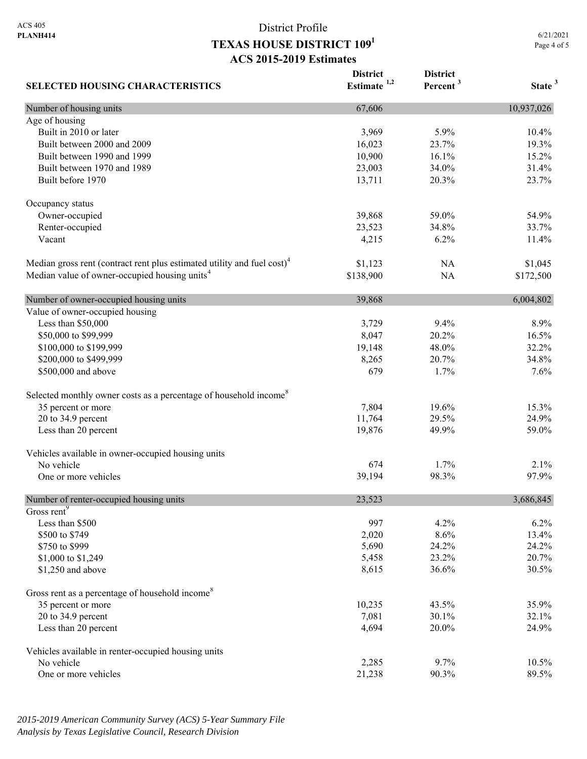6/21/2021 Page 4 of 5

| <b>SELECTED HOUSING CHARACTERISTICS</b>                                             | <b>District</b><br>Estimate <sup>1,2</sup> | <b>District</b><br>Percent <sup>3</sup> | State <sup>3</sup> |
|-------------------------------------------------------------------------------------|--------------------------------------------|-----------------------------------------|--------------------|
| Number of housing units                                                             | 67,606                                     |                                         | 10,937,026         |
| Age of housing                                                                      |                                            |                                         |                    |
| Built in 2010 or later                                                              | 3,969                                      | 5.9%                                    | 10.4%              |
| Built between 2000 and 2009                                                         | 16,023                                     | 23.7%                                   | 19.3%              |
| Built between 1990 and 1999                                                         | 10,900                                     | 16.1%                                   | 15.2%              |
| Built between 1970 and 1989                                                         | 23,003                                     | 34.0%                                   | 31.4%              |
| Built before 1970                                                                   | 13,711                                     | 20.3%                                   | 23.7%              |
| Occupancy status                                                                    |                                            |                                         |                    |
| Owner-occupied                                                                      | 39,868                                     | 59.0%                                   | 54.9%              |
| Renter-occupied                                                                     | 23,523                                     | 34.8%                                   | 33.7%              |
| Vacant                                                                              | 4,215                                      | 6.2%                                    | 11.4%              |
| Median gross rent (contract rent plus estimated utility and fuel cost) <sup>4</sup> | \$1,123                                    | NA                                      | \$1,045            |
| Median value of owner-occupied housing units <sup>4</sup>                           | \$138,900                                  | NA                                      | \$172,500          |
| Number of owner-occupied housing units                                              | 39,868                                     |                                         | 6,004,802          |
| Value of owner-occupied housing                                                     |                                            |                                         |                    |
| Less than \$50,000                                                                  | 3,729                                      | 9.4%                                    | 8.9%               |
| \$50,000 to \$99,999                                                                | 8,047                                      | 20.2%                                   | 16.5%              |
| \$100,000 to \$199,999                                                              | 19,148                                     | 48.0%                                   | 32.2%              |
| \$200,000 to \$499,999                                                              | 8,265                                      | 20.7%                                   | 34.8%              |
| \$500,000 and above                                                                 | 679                                        | 1.7%                                    | 7.6%               |
| Selected monthly owner costs as a percentage of household income <sup>8</sup>       |                                            |                                         |                    |
| 35 percent or more                                                                  | 7,804                                      | 19.6%                                   | 15.3%              |
| 20 to 34.9 percent                                                                  | 11,764                                     | 29.5%                                   | 24.9%              |
| Less than 20 percent                                                                | 19,876                                     | 49.9%                                   | 59.0%              |
| Vehicles available in owner-occupied housing units                                  |                                            |                                         |                    |
| No vehicle                                                                          | 674                                        | 1.7%                                    | 2.1%               |
| One or more vehicles                                                                | 39,194                                     | 98.3%                                   | 97.9%              |
| Number of renter-occupied housing units                                             | 23,523                                     |                                         | 3,686,845          |
| Gross rent <sup>9</sup>                                                             |                                            |                                         |                    |
| Less than \$500                                                                     | 997                                        | 4.2%                                    | 6.2%               |
| \$500 to \$749                                                                      | 2,020                                      | 8.6%                                    | 13.4%              |
| \$750 to \$999                                                                      | 5,690                                      | 24.2%                                   | 24.2%              |
| \$1,000 to \$1,249                                                                  | 5,458                                      | 23.2%                                   | 20.7%              |
| \$1,250 and above                                                                   | 8,615                                      | 36.6%                                   | 30.5%              |
| Gross rent as a percentage of household income <sup>8</sup>                         |                                            |                                         |                    |
| 35 percent or more                                                                  | 10,235                                     | 43.5%                                   | 35.9%              |
| 20 to 34.9 percent                                                                  | 7,081                                      | 30.1%                                   | 32.1%              |
| Less than 20 percent                                                                | 4,694                                      | 20.0%                                   | 24.9%              |
| Vehicles available in renter-occupied housing units                                 |                                            |                                         |                    |
| No vehicle                                                                          | 2,285                                      | 9.7%                                    | 10.5%              |
| One or more vehicles                                                                | 21,238                                     | 90.3%                                   | 89.5%              |